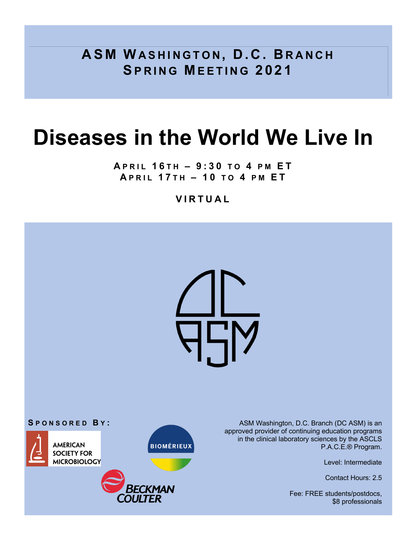**ASM WASHINGTON , D.C. B RANCH SPRING MEETING 2021** 

# **Diseases in the World We Live In**

**A PRIL 1 6 TH – 9:30 TO 4 PM E T A PRIL 1 7 TH – 1 0 TO 4 PM E T**

## **VIRTUAL**

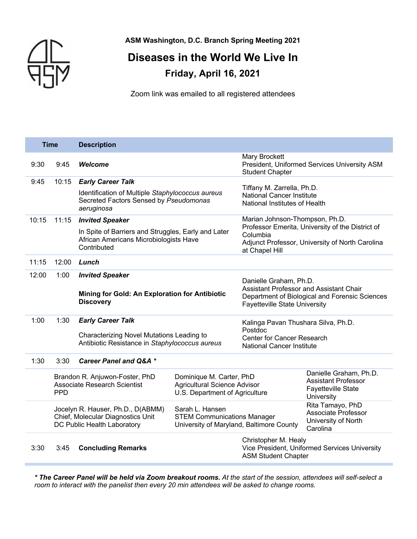

**ASM Washington, D.C. Branch Spring Meeting 2021**

# **Diseases in the World We Live In Friday, April 16, 2021**

Zoom link was emailed to all registered attendees

| <b>Time</b>                             |                                                                                                       | <b>Description</b>                                                                                           |                                                                                                   |                                                                                                     |                                                                                                 |  |
|-----------------------------------------|-------------------------------------------------------------------------------------------------------|--------------------------------------------------------------------------------------------------------------|---------------------------------------------------------------------------------------------------|-----------------------------------------------------------------------------------------------------|-------------------------------------------------------------------------------------------------|--|
| 9:30                                    | 9:45                                                                                                  | <b>Welcome</b>                                                                                               |                                                                                                   | <b>Mary Brockett</b><br>President, Uniformed Services University ASM<br><b>Student Chapter</b>      |                                                                                                 |  |
| 9:45                                    | 10:15                                                                                                 | <b>Early Career Talk</b>                                                                                     |                                                                                                   | Tiffany M. Zarrella, Ph.D.                                                                          |                                                                                                 |  |
|                                         |                                                                                                       | Identification of Multiple Staphylococcus aureus<br>Secreted Factors Sensed by Pseudomonas<br>aeruginosa     |                                                                                                   | <b>National Cancer Institute</b><br>National Institutes of Health                                   |                                                                                                 |  |
| 10:15                                   | 11:15                                                                                                 | <b>Invited Speaker</b>                                                                                       |                                                                                                   | Marian Johnson-Thompson, Ph.D.                                                                      | Professor Emerita, University of the District of                                                |  |
|                                         |                                                                                                       | In Spite of Barriers and Struggles, Early and Later<br>African Americans Microbiologists Have<br>Contributed |                                                                                                   | Columbia<br>at Chapel Hill                                                                          | Adjunct Professor, University of North Carolina                                                 |  |
| 11:15                                   | 12:00                                                                                                 | Lunch                                                                                                        |                                                                                                   |                                                                                                     |                                                                                                 |  |
| 12:00<br>1:00<br><b>Invited Speaker</b> |                                                                                                       | Danielle Graham, Ph.D.<br>Assistant Professor and Assistant Chair                                            |                                                                                                   |                                                                                                     |                                                                                                 |  |
|                                         |                                                                                                       | Mining for Gold: An Exploration for Antibiotic<br><b>Discovery</b>                                           |                                                                                                   | Department of Biological and Forensic Sciences<br><b>Fayetteville State University</b>              |                                                                                                 |  |
| 1:00                                    | 1:30                                                                                                  | <b>Early Career Talk</b>                                                                                     |                                                                                                   | Kalinga Pavan Thushara Silva, Ph.D.<br>Postdoc                                                      |                                                                                                 |  |
|                                         |                                                                                                       | Characterizing Novel Mutations Leading to<br>Antibiotic Resistance in Staphylococcus aureus                  |                                                                                                   | <b>Center for Cancer Research</b><br><b>National Cancer Institute</b>                               |                                                                                                 |  |
| 1:30                                    | 3:30                                                                                                  | <b>Career Panel and Q&amp;A *</b>                                                                            |                                                                                                   |                                                                                                     |                                                                                                 |  |
|                                         | Brandon R. Anjuwon-Foster, PhD<br><b>Associate Research Scientist</b><br><b>PPD</b>                   |                                                                                                              | Dominique M. Carter, PhD<br>Agricultural Science Advisor<br>U.S. Department of Agriculture        |                                                                                                     | Danielle Graham, Ph.D.<br><b>Assistant Professor</b><br><b>Fayetteville State</b><br>University |  |
|                                         | Jocelyn R. Hauser, Ph.D., D(ABMM)<br>Chief, Molecular Diagnostics Unit<br>DC Public Health Laboratory |                                                                                                              | Sarah L. Hansen<br><b>STEM Communications Manager</b><br>University of Maryland, Baltimore County |                                                                                                     | Rita Tamayo, PhD<br>Associate Professor<br>University of North<br>Carolina                      |  |
| 3:30                                    | 3:45                                                                                                  | <b>Concluding Remarks</b>                                                                                    |                                                                                                   | Christopher M. Healy<br>Vice President, Uniformed Services University<br><b>ASM Student Chapter</b> |                                                                                                 |  |

*\* The Career Panel will be held via Zoom breakout rooms. At the start of the session, attendees will self-select a room to interact with the panelist then every 20 min attendees will be asked to change rooms.*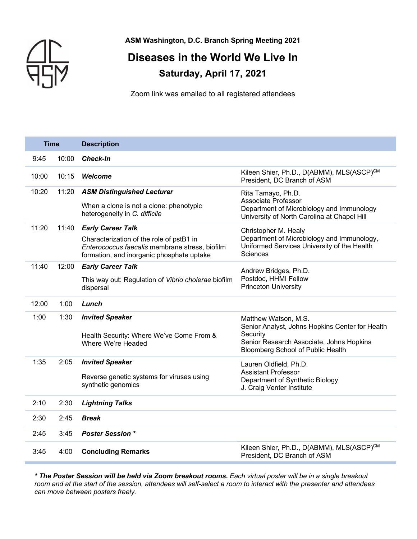

**ASM Washington, D.C. Branch Spring Meeting 2021**

# **Diseases in the World We Live In Saturday, April 17, 2021**

Zoom link was emailed to all registered attendees

| <b>Time</b> |       | <b>Description</b>                                                                                                                                                  |                                                                                                                                                                      |  |
|-------------|-------|---------------------------------------------------------------------------------------------------------------------------------------------------------------------|----------------------------------------------------------------------------------------------------------------------------------------------------------------------|--|
| 9:45        | 10:00 | <b>Check-In</b>                                                                                                                                                     |                                                                                                                                                                      |  |
| 10:00       | 10:15 | Welcome                                                                                                                                                             | Kileen Shier, Ph.D., D(ABMM), MLS(ASCP)CM<br>President, DC Branch of ASM                                                                                             |  |
| 10:20       | 11:20 | <b>ASM Distinguished Lecturer</b><br>When a clone is not a clone: phenotypic<br>heterogeneity in C. difficile                                                       | Rita Tamayo, Ph.D.<br>Associate Professor<br>Department of Microbiology and Immunology<br>University of North Carolina at Chapel Hill                                |  |
| 11:20       | 11:40 | <b>Early Career Talk</b><br>Characterization of the role of pstB1 in<br>Enterococcus faecalis membrane stress, biofilm<br>formation, and inorganic phosphate uptake | Christopher M. Healy<br>Department of Microbiology and Immunology,<br>Uniformed Services University of the Health<br><b>Sciences</b>                                 |  |
| 11:40       | 12:00 | <b>Early Career Talk</b><br>This way out: Regulation of Vibrio cholerae biofilm<br>dispersal                                                                        | Andrew Bridges, Ph.D.<br>Postdoc, HHMI Fellow<br><b>Princeton University</b>                                                                                         |  |
| 12:00       | 1:00  | Lunch                                                                                                                                                               |                                                                                                                                                                      |  |
| 1:00        | 1:30  | <b>Invited Speaker</b><br>Health Security: Where We've Come From &<br>Where We're Headed                                                                            | Matthew Watson, M.S.<br>Senior Analyst, Johns Hopkins Center for Health<br>Security<br>Senior Research Associate, Johns Hopkins<br>Bloomberg School of Public Health |  |
| 1:35        | 2:05  | <b>Invited Speaker</b><br>Reverse genetic systems for viruses using<br>synthetic genomics                                                                           | Lauren Oldfield, Ph.D.<br><b>Assistant Professor</b><br>Department of Synthetic Biology<br>J. Craig Venter Institute                                                 |  |
| 2:10        | 2:30  | <b>Lightning Talks</b>                                                                                                                                              |                                                                                                                                                                      |  |
| 2:30        | 2:45  | <b>Break</b>                                                                                                                                                        |                                                                                                                                                                      |  |
| 2:45        | 3:45  | <b>Poster Session *</b>                                                                                                                                             |                                                                                                                                                                      |  |
| 3:45        | 4:00  | <b>Concluding Remarks</b>                                                                                                                                           | Kileen Shier, Ph.D., D(ABMM), MLS(ASCP)CM<br>President, DC Branch of ASM                                                                                             |  |

*\* The Poster Session will be held via Zoom breakout rooms. Each virtual poster will be in a single breakout room and at the start of the session, attendees will self-select a room to interact with the presenter and attendees can move between posters freely.*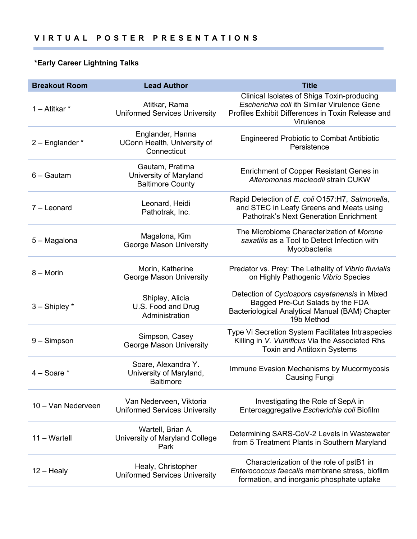## **\*Early Career Lightning Talks**

| <b>Breakout Room</b> | <b>Lead Author</b>                                                   | <b>Title</b>                                                                                                                                                |
|----------------------|----------------------------------------------------------------------|-------------------------------------------------------------------------------------------------------------------------------------------------------------|
| 1 - Atitkar *        | Atitkar, Rama<br><b>Uniformed Services University</b>                | Clinical Isolates of Shiga Toxin-producing<br>Escherichia coli ith Similar Virulence Gene<br>Profiles Exhibit Differences in Toxin Release and<br>Virulence |
| $2$ – Englander $*$  | Englander, Hanna<br>UConn Health, University of<br>Connecticut       | <b>Engineered Probiotic to Combat Antibiotic</b><br>Persistence                                                                                             |
| $6 -$ Gautam         | Gautam, Pratima<br>University of Maryland<br><b>Baltimore County</b> | Enrichment of Copper Resistant Genes in<br>Alteromonas macleodii strain CUKW                                                                                |
| $7 -$ Leonard        | Leonard, Heidi<br>Pathotrak, Inc.                                    | Rapid Detection of E. coli O157:H7, Salmonella,<br>and STEC in Leafy Greens and Meats using<br><b>Pathotrak's Next Generation Enrichment</b>                |
| 5 - Magalona         | Magalona, Kim<br><b>George Mason University</b>                      | The Microbiome Characterization of Morone<br>saxatilis as a Tool to Detect Infection with<br>Mycobacteria                                                   |
| $8 -$ Morin          | Morin, Katherine<br>George Mason University                          | Predator vs. Prey: The Lethality of Vibrio fluvialis<br>on Highly Pathogenic Vibrio Species                                                                 |
| $3 -$ Shipley $*$    | Shipley, Alicia<br>U.S. Food and Drug<br>Administration              | Detection of Cyclospora cayetanensis in Mixed<br>Bagged Pre-Cut Salads by the FDA<br>Bacteriological Analytical Manual (BAM) Chapter<br>19b Method          |
| $9 -$ Simpson        | Simpson, Casey<br><b>George Mason University</b>                     | Type Vi Secretion System Facilitates Intraspecies<br>Killing in V. Vulnificus Via the Associated Rhs<br><b>Toxin and Antitoxin Systems</b>                  |
| $4 - Soare *$        | Soare, Alexandra Y.<br>University of Maryland,<br><b>Baltimore</b>   | Immune Evasion Mechanisms by Mucormycosis<br><b>Causing Fungi</b>                                                                                           |
| 10 - Van Nederveen   | Van Nederveen, Viktoria<br><b>Uniformed Services University</b>      | Investigating the Role of SepA in<br>Enteroaggregative Escherichia coli Biofilm                                                                             |
| 11 - Wartell         | Wartell, Brian A.<br>University of Maryland College<br>Park          | Determining SARS-CoV-2 Levels in Wastewater<br>from 5 Treatment Plants in Southern Maryland                                                                 |
| $12 -$ Healy         | Healy, Christopher<br><b>Uniformed Services University</b>           | Characterization of the role of pstB1 in<br>Enterococcus faecalis membrane stress, biofilm<br>formation, and inorganic phosphate uptake                     |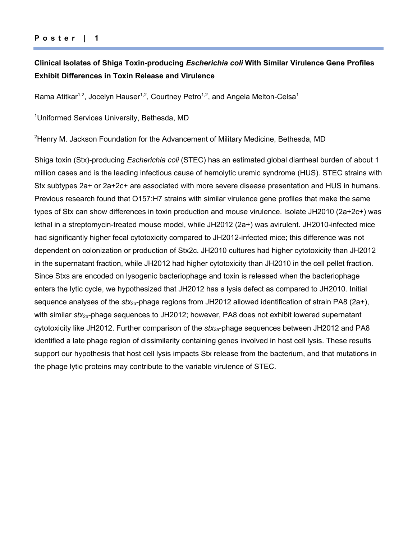### **Poster | 1**

## **Clinical Isolates of Shiga Toxin-producing** *Escherichia coli* **With Similar Virulence Gene Profiles Exhibit Differences in Toxin Release and Virulence**

Rama Atitkar<sup>1,2</sup>, Jocelyn Hauser<sup>1,2</sup>, Courtney Petro<sup>1,2</sup>, and Angela Melton-Celsa<sup>1</sup>

<sup>1</sup>Uniformed Services University, Bethesda, MD

<sup>2</sup>Henry M. Jackson Foundation for the Advancement of Military Medicine, Bethesda, MD

Shiga toxin (Stx)-producing *Escherichia coli* (STEC) has an estimated global diarrheal burden of about 1 million cases and is the leading infectious cause of hemolytic uremic syndrome (HUS). STEC strains with Stx subtypes 2a+ or 2a+2c+ are associated with more severe disease presentation and HUS in humans. Previous research found that O157:H7 strains with similar virulence gene profiles that make the same types of Stx can show differences in toxin production and mouse virulence. Isolate JH2010 (2a+2c+) was lethal in a streptomycin-treated mouse model, while JH2012 (2a+) was avirulent. JH2010-infected mice had significantly higher fecal cytotoxicity compared to JH2012-infected mice; this difference was not dependent on colonization or production of Stx2c. JH2010 cultures had higher cytotoxicity than JH2012 in the supernatant fraction, while JH2012 had higher cytotoxicity than JH2010 in the cell pellet fraction. Since Stxs are encoded on lysogenic bacteriophage and toxin is released when the bacteriophage enters the lytic cycle, we hypothesized that JH2012 has a lysis defect as compared to JH2010. Initial sequence analyses of the *stx*<sub>2a</sub>-phage regions from JH2012 allowed identification of strain PA8 (2a+), with similar *stx*2a-phage sequences to JH2012; however, PA8 does not exhibit lowered supernatant cytotoxicity like JH2012. Further comparison of the *stx*2a-phage sequences between JH2012 and PA8 identified a late phage region of dissimilarity containing genes involved in host cell lysis. These results support our hypothesis that host cell lysis impacts Stx release from the bacterium, and that mutations in the phage lytic proteins may contribute to the variable virulence of STEC.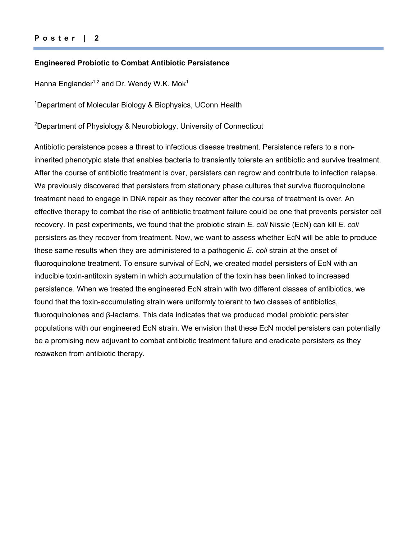#### **Engineered Probiotic to Combat Antibiotic Persistence**

Hanna Englander<sup>1,2</sup> and Dr. Wendy W.K. Mok<sup>1</sup>

<sup>1</sup>Department of Molecular Biology & Biophysics, UConn Health

<sup>2</sup>Department of Physiology & Neurobiology, University of Connecticut

Antibiotic persistence poses a threat to infectious disease treatment. Persistence refers to a noninherited phenotypic state that enables bacteria to transiently tolerate an antibiotic and survive treatment. After the course of antibiotic treatment is over, persisters can regrow and contribute to infection relapse. We previously discovered that persisters from stationary phase cultures that survive fluoroquinolone treatment need to engage in DNA repair as they recover after the course of treatment is over. An effective therapy to combat the rise of antibiotic treatment failure could be one that prevents persister cell recovery. In past experiments, we found that the probiotic strain *E. coli* Nissle (EcN) can kill *E. coli*  persisters as they recover from treatment. Now, we want to assess whether EcN will be able to produce these same results when they are administered to a pathogenic *E. coli* strain at the onset of fluoroquinolone treatment. To ensure survival of EcN, we created model persisters of EcN with an inducible toxin-antitoxin system in which accumulation of the toxin has been linked to increased persistence. When we treated the engineered EcN strain with two different classes of antibiotics, we found that the toxin-accumulating strain were uniformly tolerant to two classes of antibiotics, fluoroquinolones and β-lactams. This data indicates that we produced model probiotic persister populations with our engineered EcN strain. We envision that these EcN model persisters can potentially be a promising new adjuvant to combat antibiotic treatment failure and eradicate persisters as they reawaken from antibiotic therapy.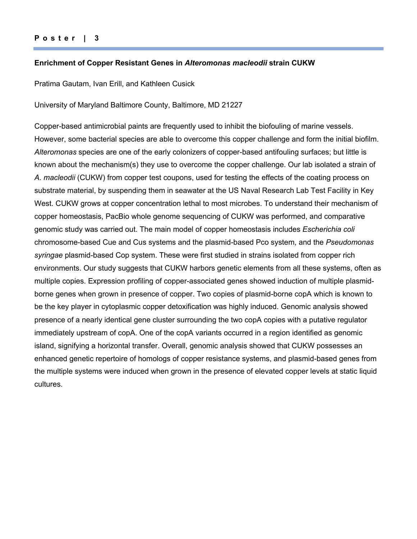#### **Enrichment of Copper Resistant Genes in** *Alteromonas macleodii* **strain CUKW**

Pratima Gautam, Ivan Erill, and Kathleen Cusick

University of Maryland Baltimore County, Baltimore, MD 21227

Copper-based antimicrobial paints are frequently used to inhibit the biofouling of marine vessels. However, some bacterial species are able to overcome this copper challenge and form the initial biofilm. *Alteromonas* species are one of the early colonizers of copper-based antifouling surfaces; but little is known about the mechanism(s) they use to overcome the copper challenge. Our lab isolated a strain of *A. macleodii* (CUKW) from copper test coupons, used for testing the effects of the coating process on substrate material, by suspending them in seawater at the US Naval Research Lab Test Facility in Key West. CUKW grows at copper concentration lethal to most microbes. To understand their mechanism of copper homeostasis, PacBio whole genome sequencing of CUKW was performed, and comparative genomic study was carried out. The main model of copper homeostasis includes *Escherichia coli* chromosome-based Cue and Cus systems and the plasmid-based Pco system, and the *Pseudomonas syringae* plasmid-based Cop system. These were first studied in strains isolated from copper rich environments. Our study suggests that CUKW harbors genetic elements from all these systems, often as multiple copies. Expression profiling of copper-associated genes showed induction of multiple plasmidborne genes when grown in presence of copper. Two copies of plasmid-borne copA which is known to be the key player in cytoplasmic copper detoxification was highly induced. Genomic analysis showed presence of a nearly identical gene cluster surrounding the two copA copies with a putative regulator immediately upstream of copA. One of the copA variants occurred in a region identified as genomic island, signifying a horizontal transfer. Overall, genomic analysis showed that CUKW possesses an enhanced genetic repertoire of homologs of copper resistance systems, and plasmid-based genes from the multiple systems were induced when grown in the presence of elevated copper levels at static liquid cultures.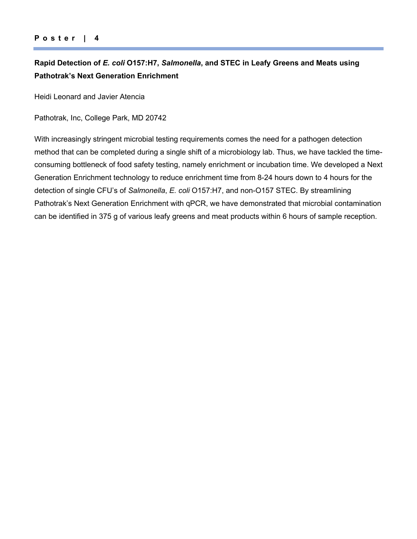## **Rapid Detection of** *E. coli* **O157:H7,** *Salmonella***, and STEC in Leafy Greens and Meats using Pathotrak's Next Generation Enrichment**

Heidi Leonard and Javier Atencia

Pathotrak, Inc, College Park, MD 20742

With increasingly stringent microbial testing requirements comes the need for a pathogen detection method that can be completed during a single shift of a microbiology lab. Thus, we have tackled the timeconsuming bottleneck of food safety testing, namely enrichment or incubation time. We developed a Next Generation Enrichment technology to reduce enrichment time from 8-24 hours down to 4 hours for the detection of single CFU's of *Salmonella*, *E. coli* O157:H7, and non-O157 STEC. By streamlining Pathotrak's Next Generation Enrichment with qPCR, we have demonstrated that microbial contamination can be identified in 375 g of various leafy greens and meat products within 6 hours of sample reception.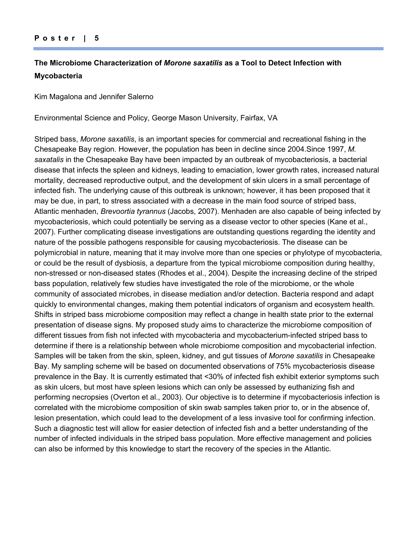### **Poster | 5**

## **The Microbiome Characterization of** *Morone saxatilis* **as a Tool to Detect Infection with Mycobacteria**

Kim Magalona and Jennifer Salerno

Environmental Science and Policy, George Mason University, Fairfax, VA

Striped bass, *Morone saxatilis*, is an important species for commercial and recreational fishing in the Chesapeake Bay region. However, the population has been in decline since 2004.Since 1997, *M. saxatalis* in the Chesapeake Bay have been impacted by an outbreak of mycobacteriosis, a bacterial disease that infects the spleen and kidneys, leading to emaciation, lower growth rates, increased natural mortality, decreased reproductive output, and the development of skin ulcers in a small percentage of infected fish. The underlying cause of this outbreak is unknown; however, it has been proposed that it may be due, in part, to stress associated with a decrease in the main food source of striped bass, Atlantic menhaden, *Brevoortia tyrannus* (Jacobs, 2007). Menhaden are also capable of being infected by mycobacteriosis, which could potentially be serving as a disease vector to other species (Kane et al., 2007). Further complicating disease investigations are outstanding questions regarding the identity and nature of the possible pathogens responsible for causing mycobacteriosis. The disease can be polymicrobial in nature, meaning that it may involve more than one species or phylotype of mycobacteria, or could be the result of dysbiosis, a departure from the typical microbiome composition during healthy, non-stressed or non-diseased states (Rhodes et al., 2004). Despite the increasing decline of the striped bass population, relatively few studies have investigated the role of the microbiome, or the whole community of associated microbes, in disease mediation and/or detection. Bacteria respond and adapt quickly to environmental changes, making them potential indicators of organism and ecosystem health. Shifts in striped bass microbiome composition may reflect a change in health state prior to the external presentation of disease signs. My proposed study aims to characterize the microbiome composition of different tissues from fish not infected with mycobacteria and mycobacterium-infected striped bass to determine if there is a relationship between whole microbiome composition and mycobacterial infection. Samples will be taken from the skin, spleen, kidney, and gut tissues of *Morone saxatilis* in Chesapeake Bay. My sampling scheme will be based on documented observations of 75% mycobacteriosis disease prevalence in the Bay. It is currently estimated that <30% of infected fish exhibit exterior symptoms such as skin ulcers, but most have spleen lesions which can only be assessed by euthanizing fish and performing necropsies (Overton et al., 2003). Our objective is to determine if mycobacteriosis infection is correlated with the microbiome composition of skin swab samples taken prior to, or in the absence of, lesion presentation, which could lead to the development of a less invasive tool for confirming infection. Such a diagnostic test will allow for easier detection of infected fish and a better understanding of the number of infected individuals in the striped bass population. More effective management and policies can also be informed by this knowledge to start the recovery of the species in the Atlantic.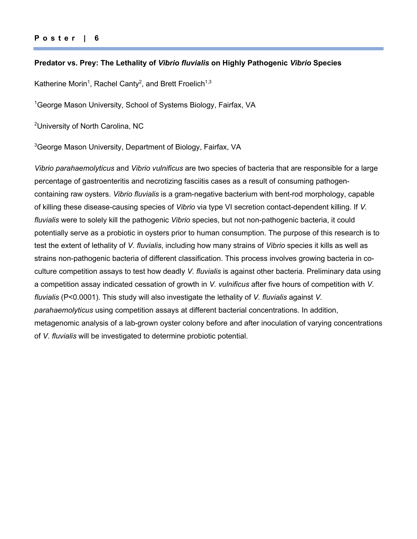#### **Predator vs. Prey: The Lethality of** *Vibrio fluvialis* **on Highly Pathogenic** *Vibrio* **Species**

Katherine Morin<sup>1</sup>, Rachel Canty<sup>2</sup>, and Brett Froelich<sup>1,3</sup>

<sup>1</sup>George Mason University, School of Systems Biology, Fairfax, VA

<sup>2</sup>University of North Carolina, NC

<sup>3</sup>George Mason University, Department of Biology, Fairfax, VA

*Vibrio parahaemolyticus* and *Vibrio vulnificus* are two species of bacteria that are responsible for a large percentage of gastroenteritis and necrotizing fasciitis cases as a result of consuming pathogencontaining raw oysters. *Vibrio fluvialis* is a gram-negative bacterium with bent-rod morphology, capable of killing these disease-causing species of *Vibrio* via type VI secretion contact-dependent killing. If *V. fluvialis* were to solely kill the pathogenic *Vibrio* species, but not non-pathogenic bacteria, it could potentially serve as a probiotic in oysters prior to human consumption. The purpose of this research is to test the extent of lethality of *V. fluvialis*, including how many strains of *Vibrio* species it kills as well as strains non-pathogenic bacteria of different classification. This process involves growing bacteria in coculture competition assays to test how deadly *V. fluvialis* is against other bacteria. Preliminary data using a competition assay indicated cessation of growth in *V. vulnificus* after five hours of competition with *V. fluvialis* (P<0.0001). This study will also investigate the lethality of *V. fluvialis* against *V. parahaemolyticus* using competition assays at different bacterial concentrations. In addition, metagenomic analysis of a lab-grown oyster colony before and after inoculation of varying concentrations of *V. fluvialis* will be investigated to determine probiotic potential.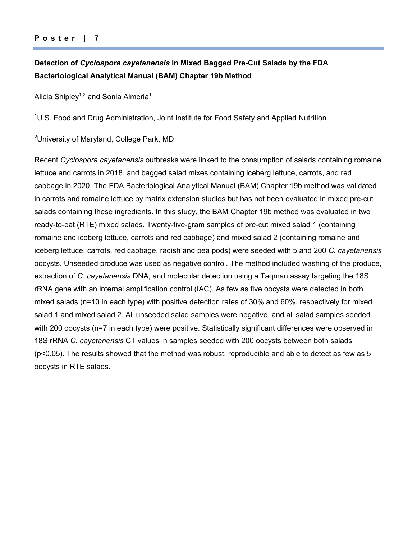## **Detection of** *Cyclospora cayetanensis* **in Mixed Bagged Pre-Cut Salads by the FDA Bacteriological Analytical Manual (BAM) Chapter 19b Method**

Alicia Shipley<sup>1,2</sup> and Sonia Almeria<sup>1</sup>

<sup>1</sup>U.S. Food and Drug Administration, Joint Institute for Food Safety and Applied Nutrition

<sup>2</sup>University of Maryland, College Park, MD

Recent *Cyclospora cayetanensis* outbreaks were linked to the consumption of salads containing romaine lettuce and carrots in 2018, and bagged salad mixes containing iceberg lettuce, carrots, and red cabbage in 2020. The FDA Bacteriological Analytical Manual (BAM) Chapter 19b method was validated in carrots and romaine lettuce by matrix extension studies but has not been evaluated in mixed pre-cut salads containing these ingredients. In this study, the BAM Chapter 19b method was evaluated in two ready-to-eat (RTE) mixed salads. Twenty-five-gram samples of pre-cut mixed salad 1 (containing romaine and iceberg lettuce, carrots and red cabbage) and mixed salad 2 (containing romaine and iceberg lettuce, carrots, red cabbage, radish and pea pods) were seeded with 5 and 200 *C. cayetanensis* oocysts. Unseeded produce was used as negative control. The method included washing of the produce, extraction of *C. cayetanensis* DNA, and molecular detection using a Taqman assay targeting the 18S rRNA gene with an internal amplification control (IAC). As few as five oocysts were detected in both mixed salads (n=10 in each type) with positive detection rates of 30% and 60%, respectively for mixed salad 1 and mixed salad 2. All unseeded salad samples were negative, and all salad samples seeded with 200 oocysts (n=7 in each type) were positive. Statistically significant differences were observed in 18S rRNA *C. cayetanensis* CT values in samples seeded with 200 oocysts between both salads (p<0.05). The results showed that the method was robust, reproducible and able to detect as few as 5 oocysts in RTE salads.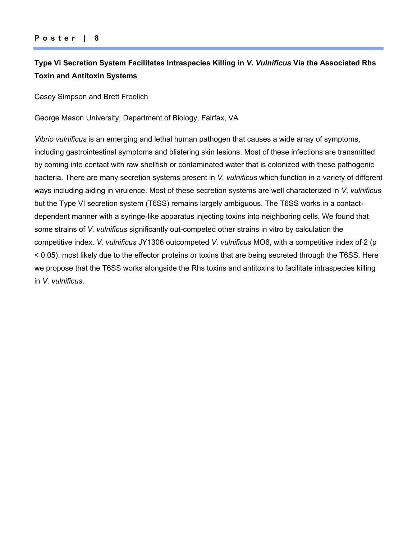## **Type Vi Secretion System Facilitates Intraspecies Killing in** *V. Vulnificus* **Via the Associated Rhs Toxin and Antitoxin Systems**

Casey Simpson and Brett Froelich

George Mason University, Department of Biology, Fairfax, VA

*Vibrio vulnificus* is an emerging and lethal human pathogen that causes a wide array of symptoms, including gastrointestinal symptoms and blistering skin lesions. Most of these infections are transmitted by coming into contact with raw shellfish or contaminated water that is colonized with these pathogenic bacteria. There are many secretion systems present in *V. vulnificus* which function in a variety of different ways including aiding in virulence. Most of these secretion systems are well characterized in *V. vulnificus* but the Type VI secretion system (T6SS) remains largely ambiguous. The T6SS works in a contactdependent manner with a syringe-like apparatus injecting toxins into neighboring cells. We found that some strains of *V. vulnificus* significantly out-competed other strains in vitro by calculation the competitive index. *V. vulnificus* JY1306 outcompeted *V. vulnificus* MO6, with a competitive index of 2 (p < 0.05). most likely due to the effector proteins or toxins that are being secreted through the T6SS. Here we propose that the T6SS works alongside the Rhs toxins and antitoxins to facilitate intraspecies killing in *V. vulnificus*.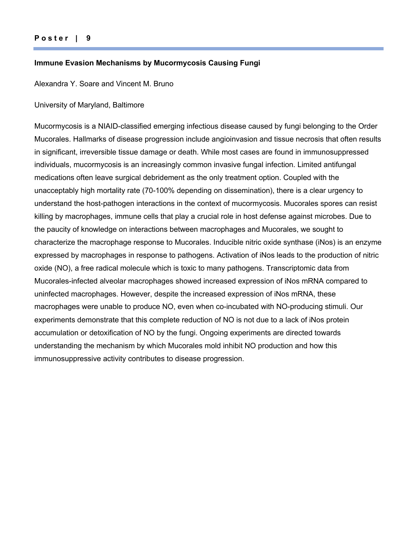#### **Immune Evasion Mechanisms by Mucormycosis Causing Fungi**

Alexandra Y. Soare and Vincent M. Bruno

## University of Maryland, Baltimore

Mucormycosis is a NIAID-classified emerging infectious disease caused by fungi belonging to the Order Mucorales. Hallmarks of disease progression include angioinvasion and tissue necrosis that often results in significant, irreversible tissue damage or death. While most cases are found in immunosuppressed individuals, mucormycosis is an increasingly common invasive fungal infection. Limited antifungal medications often leave surgical debridement as the only treatment option. Coupled with the unacceptably high mortality rate (70-100% depending on dissemination), there is a clear urgency to understand the host-pathogen interactions in the context of mucormycosis. Mucorales spores can resist killing by macrophages, immune cells that play a crucial role in host defense against microbes. Due to the paucity of knowledge on interactions between macrophages and Mucorales, we sought to characterize the macrophage response to Mucorales. Inducible nitric oxide synthase (iNos) is an enzyme expressed by macrophages in response to pathogens. Activation of iNos leads to the production of nitric oxide (NO), a free radical molecule which is toxic to many pathogens. Transcriptomic data from Mucorales-infected alveolar macrophages showed increased expression of iNos mRNA compared to uninfected macrophages. However, despite the increased expression of iNos mRNA, these macrophages were unable to produce NO, even when co-incubated with NO-producing stimuli. Our experiments demonstrate that this complete reduction of NO is not due to a lack of iNos protein accumulation or detoxification of NO by the fungi. Ongoing experiments are directed towards understanding the mechanism by which Mucorales mold inhibit NO production and how this immunosuppressive activity contributes to disease progression.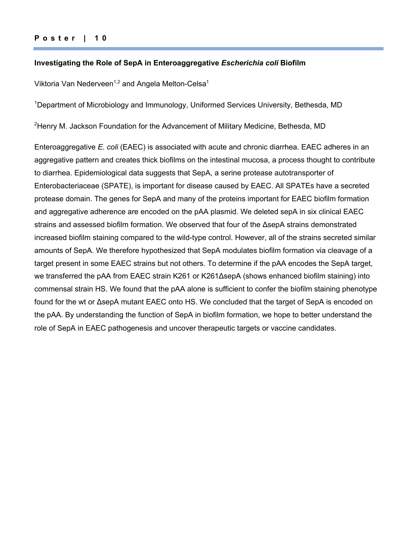### **Poster | 1 0**

#### **Investigating the Role of SepA in Enteroaggregative** *Escherichia coli* **Biofilm**

Viktoria Van Nederveen<sup>1,2</sup> and Angela Melton-Celsa<sup>1</sup>

<sup>1</sup>Department of Microbiology and Immunology, Uniformed Services University, Bethesda, MD

<sup>2</sup>Henry M. Jackson Foundation for the Advancement of Military Medicine, Bethesda, MD

Enteroaggregative *E. coli* (EAEC) is associated with acute and chronic diarrhea. EAEC adheres in an aggregative pattern and creates thick biofilms on the intestinal mucosa, a process thought to contribute to diarrhea. Epidemiological data suggests that SepA, a serine protease autotransporter of Enterobacteriaceae (SPATE), is important for disease caused by EAEC. All SPATEs have a secreted protease domain. The genes for SepA and many of the proteins important for EAEC biofilm formation and aggregative adherence are encoded on the pAA plasmid. We deleted sepA in six clinical EAEC strains and assessed biofilm formation. We observed that four of the ΔsepA strains demonstrated increased biofilm staining compared to the wild-type control. However, all of the strains secreted similar amounts of SepA. We therefore hypothesized that SepA modulates biofilm formation via cleavage of a target present in some EAEC strains but not others. To determine if the pAA encodes the SepA target, we transferred the pAA from EAEC strain K261 or K261ΔsepA (shows enhanced biofilm staining) into commensal strain HS. We found that the pAA alone is sufficient to confer the biofilm staining phenotype found for the wt or ΔsepA mutant EAEC onto HS. We concluded that the target of SepA is encoded on the pAA. By understanding the function of SepA in biofilm formation, we hope to better understand the role of SepA in EAEC pathogenesis and uncover therapeutic targets or vaccine candidates.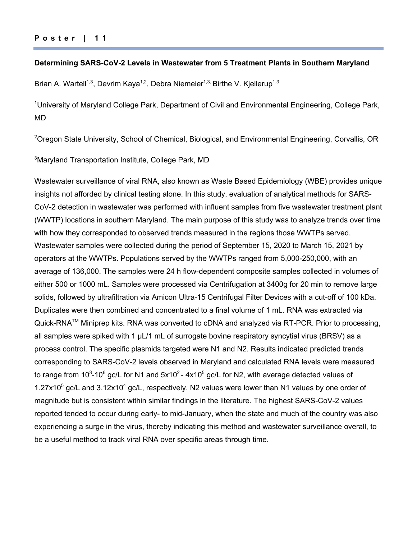#### **Determining SARS-CoV-2 Levels in Wastewater from 5 Treatment Plants in Southern Maryland**

Brian A. Wartell<sup>1,3</sup>, Devrim Kaya<sup>1,2</sup>, Debra Niemeier<sup>1,3,</sup> Birthe V. Kjellerup<sup>1,3</sup>

<sup>1</sup>University of Maryland College Park, Department of Civil and Environmental Engineering, College Park, MD

<sup>2</sup>Oregon State University, School of Chemical, Biological, and Environmental Engineering, Corvallis, OR

3 Maryland Transportation Institute, College Park, MD

Wastewater surveillance of viral RNA, also known as Waste Based Epidemiology (WBE) provides unique insights not afforded by clinical testing alone. In this study, evaluation of analytical methods for SARS-CoV-2 detection in wastewater was performed with influent samples from five wastewater treatment plant (WWTP) locations in southern Maryland. The main purpose of this study was to analyze trends over time with how they corresponded to observed trends measured in the regions those WWTPs served. Wastewater samples were collected during the period of September 15, 2020 to March 15, 2021 by operators at the WWTPs. Populations served by the WWTPs ranged from 5,000-250,000, with an average of 136,000. The samples were 24 h flow-dependent composite samples collected in volumes of either 500 or 1000 mL. Samples were processed via Centrifugation at 3400g for 20 min to remove large solids, followed by ultrafiltration via Amicon Ultra-15 Centrifugal Filter Devices with a cut-off of 100 kDa. Duplicates were then combined and concentrated to a final volume of 1 mL. RNA was extracted via Quick-RNA<sup>™</sup> Miniprep kits. RNA was converted to cDNA and analyzed via RT-PCR. Prior to processing, all samples were spiked with 1 µL/1 mL of surrogate bovine respiratory syncytial virus (BRSV) as a process control. The specific plasmids targeted were N1 and N2. Results indicated predicted trends corresponding to SARS-CoV-2 levels observed in Maryland and calculated RNA levels were measured to range from 10<sup>3</sup>-10<sup>6</sup> gc/L for N1 and 5x10<sup>2</sup> - 4x10<sup>5</sup> gc/L for N2, with average detected values of 1.27 $x10^5$  gc/L and 3.12 $x10^4$  gc/L, respectively. N2 values were lower than N1 values by one order of magnitude but is consistent within similar findings in the literature. The highest SARS-CoV-2 values reported tended to occur during early- to mid-January, when the state and much of the country was also experiencing a surge in the virus, thereby indicating this method and wastewater surveillance overall, to be a useful method to track viral RNA over specific areas through time.